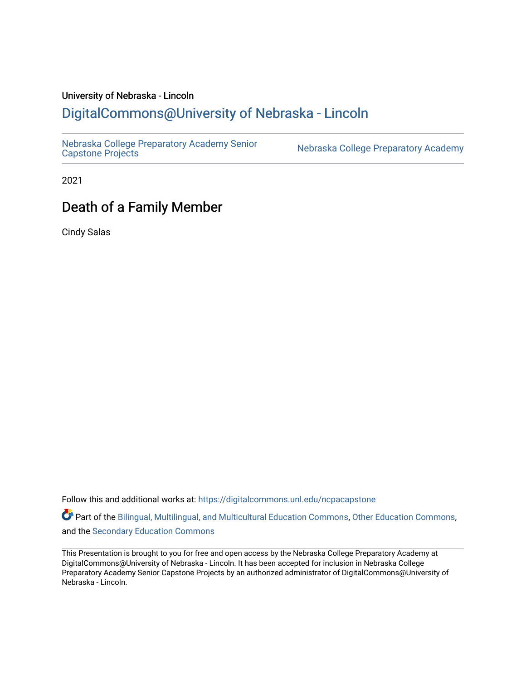### University of Nebraska - Lincoln [DigitalCommons@University of Nebraska - Lincoln](https://digitalcommons.unl.edu/)

[Nebraska College Preparatory Academy Senior](https://digitalcommons.unl.edu/ncpacapstone) 

Nebraska College Preparatory Academy

2021

## Death of a Family Member

Cindy Salas

Follow this and additional works at: [https://digitalcommons.unl.edu/ncpacapstone](https://digitalcommons.unl.edu/ncpacapstone?utm_source=digitalcommons.unl.edu%2Fncpacapstone%2F216&utm_medium=PDF&utm_campaign=PDFCoverPages) 

Part of the [Bilingual, Multilingual, and Multicultural Education Commons,](https://network.bepress.com/hgg/discipline/785?utm_source=digitalcommons.unl.edu%2Fncpacapstone%2F216&utm_medium=PDF&utm_campaign=PDFCoverPages) [Other Education Commons,](https://network.bepress.com/hgg/discipline/811?utm_source=digitalcommons.unl.edu%2Fncpacapstone%2F216&utm_medium=PDF&utm_campaign=PDFCoverPages) and the [Secondary Education Commons](https://network.bepress.com/hgg/discipline/1382?utm_source=digitalcommons.unl.edu%2Fncpacapstone%2F216&utm_medium=PDF&utm_campaign=PDFCoverPages) 

This Presentation is brought to you for free and open access by the Nebraska College Preparatory Academy at DigitalCommons@University of Nebraska - Lincoln. It has been accepted for inclusion in Nebraska College Preparatory Academy Senior Capstone Projects by an authorized administrator of DigitalCommons@University of Nebraska - Lincoln.